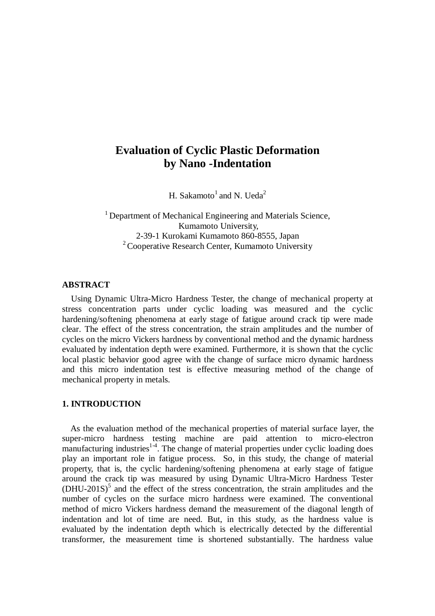# **Evaluation of Cyclic Plastic Deformation by Nano -Indentation**

H. Sakamoto<sup>1</sup> and N. Ueda<sup>2</sup>

<sup>1</sup> Department of Mechanical Engineering and Materials Science, Kumamoto University, 2-39-1 Kurokami Kumamoto 860-8555, Japan  $2^2$  Cooperative Research Center, Kumamoto University

# **ABSTRACT**

 Using Dynamic Ultra-Micro Hardness Tester, the change of mechanical property at stress concentration parts under cyclic loading was measured and the cyclic hardening/softening phenomena at early stage of fatigue around crack tip were made clear. The effect of the stress concentration, the strain amplitudes and the number of cycles on the micro Vickers hardness by conventional method and the dynamic hardness evaluated by indentation depth were examined. Furthermore, it is shown that the cyclic local plastic behavior good agree with the change of surface micro dynamic hardness and this micro indentation test is effective measuring method of the change of mechanical property in metals.

#### **1. INTRODUCTION**

 As the evaluation method of the mechanical properties of material surface layer, the super-micro hardness testing machine are paid attention to micro-electron manufacturing industries<sup>1-4</sup>. The change of material properties under cyclic loading does play an important role in fatigue process. So, in this study, the change of material property, that is, the cyclic hardening/softening phenomena at early stage of fatigue around the crack tip was measured by using Dynamic Ultra-Micro Hardness Tester  $(DHU-201S)$ <sup>5</sup> and the effect of the stress concentration, the strain amplitudes and the number of cycles on the surface micro hardness were examined. The conventional method of micro Vickers hardness demand the measurement of the diagonal length of indentation and lot of time are need. But, in this study, as the hardness value is evaluated by the indentation depth which is electrically detected by the differential transformer, the measurement time is shortened substantially. The hardness value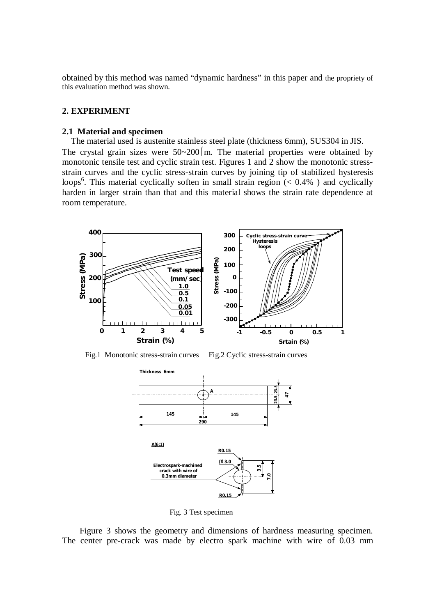obtained by this method was named "dynamic hardness" in this paper and the propriety of this evaluation method was shown.

## **2. EXPERIMENT**

#### **2.1 Material and specimen**

 The material used is austenite stainless steel plate (thickness 6mm), SUS304 in JIS. The crystal grain sizes were  $50~200$  m. The material properties were obtained by monotonic tensile test and cyclic strain test. Figures 1 and 2 show the monotonic stressstrain curves and the cyclic stress-strain curves by joining tip of stabilized hysteresis loops<sup>6</sup>. This material cyclically soften in small strain region  $(< 0.4\%$  ) and cyclically harden in larger strain than that and this material shows the strain rate dependence at room temperature.



Fig.1 Monotonic stress-strain curves Fig.2 Cyclic stress-strain curves



Fig. 3 Test specimen

Figure 3 shows the geometry and dimensions of hardness measuring specimen. The center pre-crack was made by electro spark machine with wire of 0.03 mm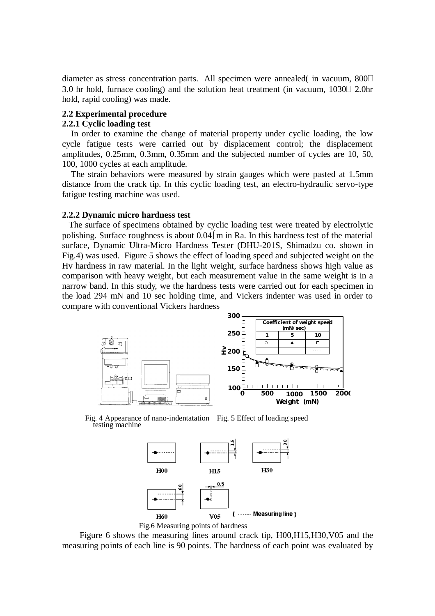diameter as stress concentration parts. All specimen were annealed( in vacuum, 800 3.0 hr hold, furnace cooling) and the solution heat treatment (in vacuum,  $1030\degree$  2.0hr hold, rapid cooling) was made.

# **2.2 Experimental procedure**

# **2.2.1 Cyclic loading test**

 In order to examine the change of material property under cyclic loading, the low cycle fatigue tests were carried out by displacement control; the displacement amplitudes, 0.25mm, 0.3mm, 0.35mm and the subjected number of cycles are 10, 50, 100, 1000 cycles at each amplitude.

 The strain behaviors were measured by strain gauges which were pasted at 1.5mm distance from the crack tip. In this cyclic loading test, an electro-hydraulic servo-type fatigue testing machine was used.

#### **2.2.2 Dynamic micro hardness test**

 The surface of specimens obtained by cyclic loading test were treated by electrolytic polishing. Surface roughness is about  $0.04 \, \text{m}$  in Ra. In this hardness test of the material surface, Dynamic Ultra-Micro Hardness Tester (DHU-201S, Shimadzu co. shown in Fig.4) was used. Figure 5 shows the effect of loading speed and subjected weight on the Hv hardness in raw material. In the light weight, surface hardness shows high value as comparison with heavy weight, but each measurement value in the same weight is in a narrow band. In this study, we the hardness tests were carried out for each specimen in the load 294 mN and 10 sec holding time, and Vickers indenter was used in order to compare with conventional Vickers hardness



Fig. 4 Appearance of nano-indentatation Fig. 5 Effect of loading speed testing machine





Figure 6 shows the measuring lines around crack tip, H00,H15,H30,V05 and the measuring points of each line is 90 points. The hardness of each point was evaluated by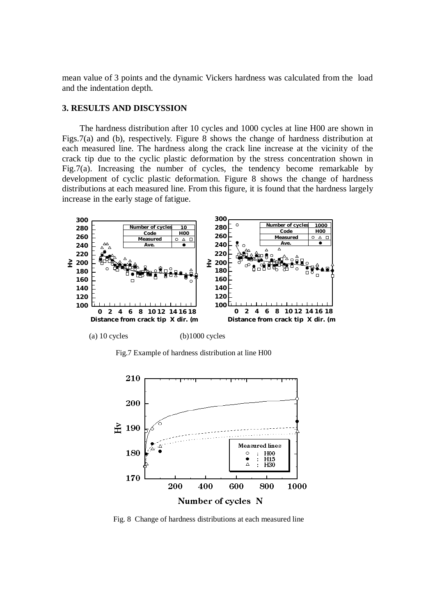mean value of 3 points and the dynamic Vickers hardness was calculated from the load and the indentation depth.

## **3. RESULTS AND DISCYSSION**

The hardness distribution after 10 cycles and 1000 cycles at line H00 are shown in Figs.7(a) and (b), respectively. Figure 8 shows the change of hardness distribution at each measured line. The hardness along the crack line increase at the vicinity of the crack tip due to the cyclic plastic deformation by the stress concentration shown in Fig.7(a). Increasing the number of cycles, the tendency become remarkable by development of cyclic plastic deformation. Figure 8 shows the change of hardness distributions at each measured line. From this figure, it is found that the hardness largely increase in the early stage of fatigue.



(a)  $10$  cycles (b) $1000$  cycles

Fig.7 Example of hardness distribution at line H00



Fig. 8 Change of hardness distributions at each measured line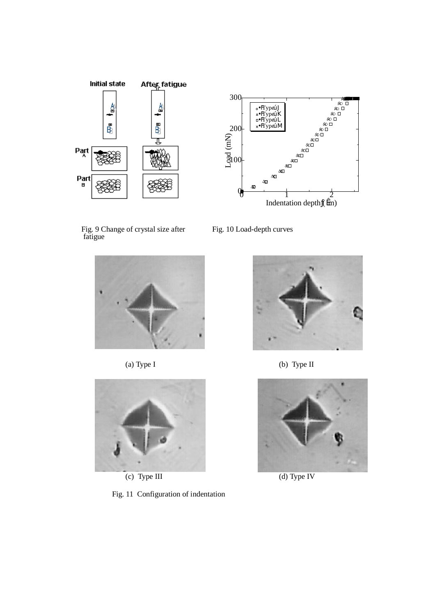



Fig. 9 Change of crystal size after Fig. 10 Load-depth curves fatigue





(c) Type III (d) Type IV

Fig. 11 Configuration of indentation



(a) Type I (b) Type II

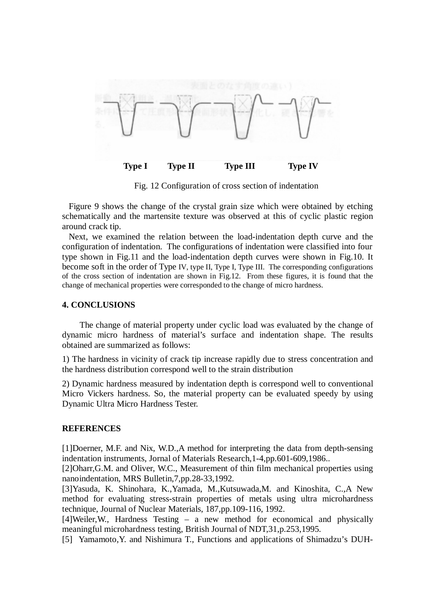

Fig. 12 Configuration of cross section of indentation

 Figure 9 shows the change of the crystal grain size which were obtained by etching schematically and the martensite texture was observed at this of cyclic plastic region around crack tip.

Next, we examined the relation between the load-indentation depth curve and the configuration of indentation. The configurations of indentation were classified into four type shown in Fig.11 and the load-indentation depth curves were shown in Fig.10. It become soft in the order of Type IV, type II, Type I, Type III. The corresponding configurations of the cross section of indentation are shown in Fig.12. From these figures, it is found that the change of mechanical properties were corresponded to the change of micro hardness.

## **4. CONCLUSIONS**

The change of material property under cyclic load was evaluated by the change of dynamic micro hardness of material's surface and indentation shape. The results obtained are summarized as follows:

1) The hardness in vicinity of crack tip increase rapidly due to stress concentration and the hardness distribution correspond well to the strain distribution

2) Dynamic hardness measured by indentation depth is correspond well to conventional Micro Vickers hardness. So, the material property can be evaluated speedy by using Dynamic Ultra Micro Hardness Tester.

#### **REFERENCES**

[1]Doerner, M.F. and Nix, W.D.,A method for interpreting the data from depth-sensing indentation instruments, Jornal of Materials Research,1-4,pp.601-609,1986..

[2]Oharr,G.M. and Oliver, W.C., Measurement of thin film mechanical properties using nanoindentation, MRS Bulletin,7,pp.28-33,1992.

[3]Yasuda, K. Shinohara, K.,Yamada, M.,Kutsuwada,M. and Kinoshita, C.,A New method for evaluating stress-strain properties of metals using ultra microhardness technique, Journal of Nuclear Materials, 187,pp.109-116, 1992.

[4]Weiler,W., Hardness Testing – a new method for economical and physically meaningful microhardness testing, British Journal of NDT,31,p.253,1995.

[5] Yamamoto,Y. and Nishimura T., Functions and applications of Shimadzu's DUH-